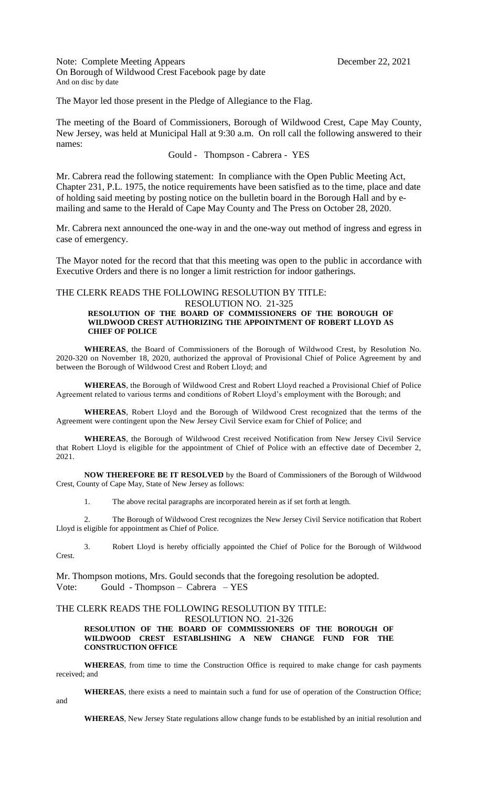Note: Complete Meeting Appears December 22, 2021 On Borough of Wildwood Crest Facebook page by date And on disc by date

The Mayor led those present in the Pledge of Allegiance to the Flag.

The meeting of the Board of Commissioners, Borough of Wildwood Crest, Cape May County, New Jersey, was held at Municipal Hall at 9:30 a.m. On roll call the following answered to their names:

## Gould - Thompson - Cabrera - YES

Mr. Cabrera read the following statement: In compliance with the Open Public Meeting Act, Chapter 231, P.L. 1975, the notice requirements have been satisfied as to the time, place and date of holding said meeting by posting notice on the bulletin board in the Borough Hall and by emailing and same to the Herald of Cape May County and The Press on October 28, 2020.

Mr. Cabrera next announced the one-way in and the one-way out method of ingress and egress in case of emergency.

The Mayor noted for the record that that this meeting was open to the public in accordance with Executive Orders and there is no longer a limit restriction for indoor gatherings.

### THE CLERK READS THE FOLLOWING RESOLUTION BY TITLE:

#### RESOLUTION NO. 21-325 **RESOLUTION OF THE BOARD OF COMMISSIONERS OF THE BOROUGH OF WILDWOOD CREST AUTHORIZING THE APPOINTMENT OF ROBERT LLOYD AS CHIEF OF POLICE**

**WHEREAS**, the Board of Commissioners of the Borough of Wildwood Crest, by Resolution No. 2020-320 on November 18, 2020, authorized the approval of Provisional Chief of Police Agreement by and between the Borough of Wildwood Crest and Robert Lloyd; and

**WHEREAS**, the Borough of Wildwood Crest and Robert Lloyd reached a Provisional Chief of Police Agreement related to various terms and conditions of Robert Lloyd's employment with the Borough; and

**WHEREAS**, Robert Lloyd and the Borough of Wildwood Crest recognized that the terms of the Agreement were contingent upon the New Jersey Civil Service exam for Chief of Police; and

**WHEREAS**, the Borough of Wildwood Crest received Notification from New Jersey Civil Service that Robert Lloyd is eligible for the appointment of Chief of Police with an effective date of December 2, 2021.

**NOW THEREFORE BE IT RESOLVED** by the Board of Commissioners of the Borough of Wildwood Crest, County of Cape May, State of New Jersey as follows:

1. The above recital paragraphs are incorporated herein as if set forth at length.

2. The Borough of Wildwood Crest recognizes the New Jersey Civil Service notification that Robert Lloyd is eligible for appointment as Chief of Police.

3. Robert Lloyd is hereby officially appointed the Chief of Police for the Borough of Wildwood Crest.

Mr. Thompson motions, Mrs. Gould seconds that the foregoing resolution be adopted. Vote: Gould - Thompson – Cabrera – YES

# THE CLERK READS THE FOLLOWING RESOLUTION BY TITLE:

and

#### RESOLUTION NO. 21-326 **RESOLUTION OF THE BOARD OF COMMISSIONERS OF THE BOROUGH OF WILDWOOD CREST ESTABLISHING A NEW CHANGE FUND FOR THE CONSTRUCTION OFFICE**

**WHEREAS**, from time to time the Construction Office is required to make change for cash payments received; and

**WHEREAS**, there exists a need to maintain such a fund for use of operation of the Construction Office;

**WHEREAS**, New Jersey State regulations allow change funds to be established by an initial resolution and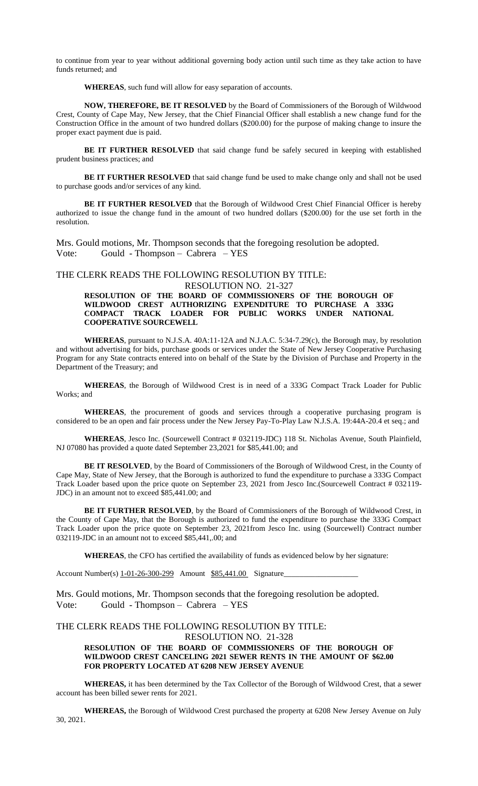to continue from year to year without additional governing body action until such time as they take action to have funds returned; and

**WHEREAS**, such fund will allow for easy separation of accounts.

**NOW, THEREFORE, BE IT RESOLVED** by the Board of Commissioners of the Borough of Wildwood Crest, County of Cape May, New Jersey, that the Chief Financial Officer shall establish a new change fund for the Construction Office in the amount of two hundred dollars (\$200.00) for the purpose of making change to insure the proper exact payment due is paid.

**BE IT FURTHER RESOLVED** that said change fund be safely secured in keeping with established prudent business practices; and

**BE IT FURTHER RESOLVED** that said change fund be used to make change only and shall not be used to purchase goods and/or services of any kind.

BE IT FURTHER RESOLVED that the Borough of Wildwood Crest Chief Financial Officer is hereby authorized to issue the change fund in the amount of two hundred dollars (\$200.00) for the use set forth in the resolution.

Mrs. Gould motions, Mr. Thompson seconds that the foregoing resolution be adopted. Vote: Gould - Thompson – Cabrera – YES

#### THE CLERK READS THE FOLLOWING RESOLUTION BY TITLE:

RESOLUTION NO. 21-327 **RESOLUTION OF THE BOARD OF COMMISSIONERS OF THE BOROUGH OF WILDWOOD CREST AUTHORIZING EXPENDITURE TO PURCHASE A 333G COMPACT TRACK LOADER FOR PUBLIC WORKS UNDER NATIONAL COOPERATIVE SOURCEWELL**

**WHEREAS**, pursuant to N.J.S.A. 40A:11-12A and N.J.A.C. 5:34-7.29(c), the Borough may, by resolution and without advertising for bids, purchase goods or services under the State of New Jersey Cooperative Purchasing Program for any State contracts entered into on behalf of the State by the Division of Purchase and Property in the Department of the Treasury; and

**WHEREAS**, the Borough of Wildwood Crest is in need of a 333G Compact Track Loader for Public Works; and

**WHEREAS**, the procurement of goods and services through a cooperative purchasing program is considered to be an open and fair process under the New Jersey Pay-To-Play Law N.J.S.A. 19:44A-20.4 et seq.; and

**WHEREAS**, Jesco Inc. (Sourcewell Contract # 032119-JDC) 118 St. Nicholas Avenue, South Plainfield, NJ 07080 has provided a quote dated September 23,2021 for \$85,441.00; and

**BE IT RESOLVED**, by the Board of Commissioners of the Borough of Wildwood Crest, in the County of Cape May, State of New Jersey, that the Borough is authorized to fund the expenditure to purchase a 333G Compact Track Loader based upon the price quote on September 23, 2021 from Jesco Inc.(Sourcewell Contract # 032119- JDC) in an amount not to exceed \$85,441.00; and

**BE IT FURTHER RESOLVED**, by the Board of Commissioners of the Borough of Wildwood Crest, in the County of Cape May, that the Borough is authorized to fund the expenditure to purchase the 333G Compact Track Loader upon the price quote on September 23, 2021from Jesco Inc. using (Sourcewell) Contract number 032119-JDC in an amount not to exceed \$85,441,.00; and

**WHEREAS**, the CFO has certified the availability of funds as evidenced below by her signature:

Account Number(s) 1-01-26-300-299 Amount \$85,441.00 Signature

Mrs. Gould motions, Mr. Thompson seconds that the foregoing resolution be adopted. Vote: Gould - Thompson – Cabrera – YES

#### THE CLERK READS THE FOLLOWING RESOLUTION BY TITLE:

RESOLUTION NO. 21-328

## **RESOLUTION OF THE BOARD OF COMMISSIONERS OF THE BOROUGH OF WILDWOOD CREST CANCELING 2021 SEWER RENTS IN THE AMOUNT OF \$62.00 FOR PROPERTY LOCATED AT 6208 NEW JERSEY AVENUE**

**WHEREAS,** it has been determined by the Tax Collector of the Borough of Wildwood Crest, that a sewer account has been billed sewer rents for 2021.

**WHEREAS,** the Borough of Wildwood Crest purchased the property at 6208 New Jersey Avenue on July 30, 2021.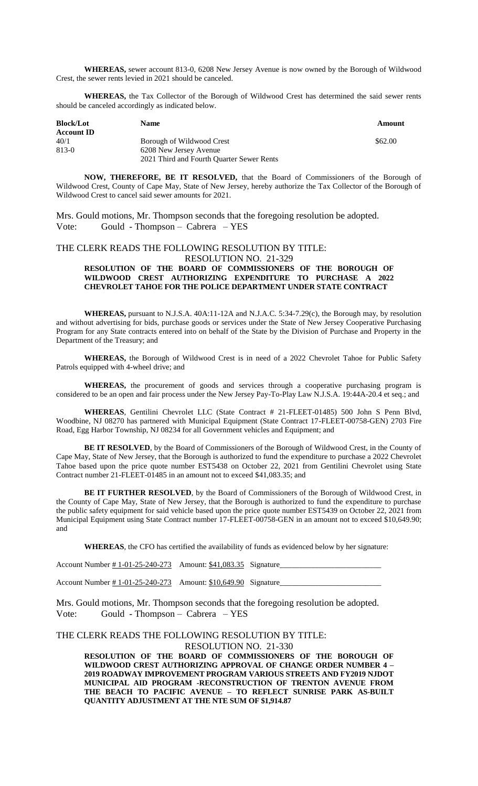**WHEREAS,** sewer account 813-0, 6208 New Jersey Avenue is now owned by the Borough of Wildwood Crest, the sewer rents levied in 2021 should be canceled.

**WHEREAS,** the Tax Collector of the Borough of Wildwood Crest has determined the said sewer rents should be canceled accordingly as indicated below.

| <b>Block/Lot</b><br><b>Account ID</b> | <b>Name</b>                                                         | Amount  |
|---------------------------------------|---------------------------------------------------------------------|---------|
| 40/1                                  | Borough of Wildwood Crest                                           | \$62.00 |
| $813-0$                               | 6208 New Jersey Avenue<br>2021 Third and Fourth Quarter Sewer Rents |         |

**NOW, THEREFORE, BE IT RESOLVED,** that the Board of Commissioners of the Borough of Wildwood Crest, County of Cape May, State of New Jersey, hereby authorize the Tax Collector of the Borough of Wildwood Crest to cancel said sewer amounts for 2021.

Mrs. Gould motions, Mr. Thompson seconds that the foregoing resolution be adopted. Vote: Gould - Thompson – Cabrera – YES

### THE CLERK READS THE FOLLOWING RESOLUTION BY TITLE:

RESOLUTION NO. 21-329

#### **RESOLUTION OF THE BOARD OF COMMISSIONERS OF THE BOROUGH OF WILDWOOD CREST AUTHORIZING EXPENDITURE TO PURCHASE A 2022 CHEVROLET TAHOE FOR THE POLICE DEPARTMENT UNDER STATE CONTRACT**

**WHEREAS,** pursuant to N.J.S.A. 40A:11-12A and N.J.A.C. 5:34-7.29(c), the Borough may, by resolution and without advertising for bids, purchase goods or services under the State of New Jersey Cooperative Purchasing Program for any State contracts entered into on behalf of the State by the Division of Purchase and Property in the Department of the Treasury; and

**WHEREAS,** the Borough of Wildwood Crest is in need of a 2022 Chevrolet Tahoe for Public Safety Patrols equipped with 4-wheel drive; and

**WHEREAS,** the procurement of goods and services through a cooperative purchasing program is considered to be an open and fair process under the New Jersey Pay-To-Play Law N.J.S.A. 19:44A-20.4 et seq.; and

**WHEREAS**, Gentilini Chevrolet LLC (State Contract # 21-FLEET-01485) 500 John S Penn Blvd, Woodbine, NJ 08270 has partnered with Municipal Equipment (State Contract 17-FLEET-00758-GEN) 2703 Fire Road, Egg Harbor Township, NJ 08234 for all Government vehicles and Equipment; and

**BE IT RESOLVED**, by the Board of Commissioners of the Borough of Wildwood Crest, in the County of Cape May, State of New Jersey, that the Borough is authorized to fund the expenditure to purchase a 2022 Chevrolet Tahoe based upon the price quote number EST5438 on October 22, 2021 from Gentilini Chevrolet using State Contract number 21-FLEET-01485 in an amount not to exceed \$41,083.35; and

**BE IT FURTHER RESOLVED**, by the Board of Commissioners of the Borough of Wildwood Crest, in the County of Cape May, State of New Jersey, that the Borough is authorized to fund the expenditure to purchase the public safety equipment for said vehicle based upon the price quote number EST5439 on October 22, 2021 from Municipal Equipment using State Contract number 17-FLEET-00758-GEN in an amount not to exceed \$10,649.90; and

**WHEREAS**, the CFO has certified the availability of funds as evidenced below by her signature:

| Account Number #1-01-25-240-273 Amount: \$41,083.35 Signature |  |
|---------------------------------------------------------------|--|
| Account Number #1-01-25-240-273 Amount: \$10,649.90 Signature |  |

Mrs. Gould motions, Mr. Thompson seconds that the foregoing resolution be adopted. Vote: Gould - Thompson – Cabrera – YES

### THE CLERK READS THE FOLLOWING RESOLUTION BY TITLE: RESOLUTION NO. 21-330

**RESOLUTION OF THE BOARD OF COMMISSIONERS OF THE BOROUGH OF WILDWOOD CREST AUTHORIZING APPROVAL OF CHANGE ORDER NUMBER 4 – 2019 ROADWAY IMPROVEMENT PROGRAM VARIOUS STREETS AND FY2019 NJDOT MUNICIPAL AID PROGRAM -RECONSTRUCTION OF TRENTON AVENUE FROM THE BEACH TO PACIFIC AVENUE – TO REFLECT SUNRISE PARK AS-BUILT QUANTITY ADJUSTMENT AT THE NTE SUM OF \$1,914.87**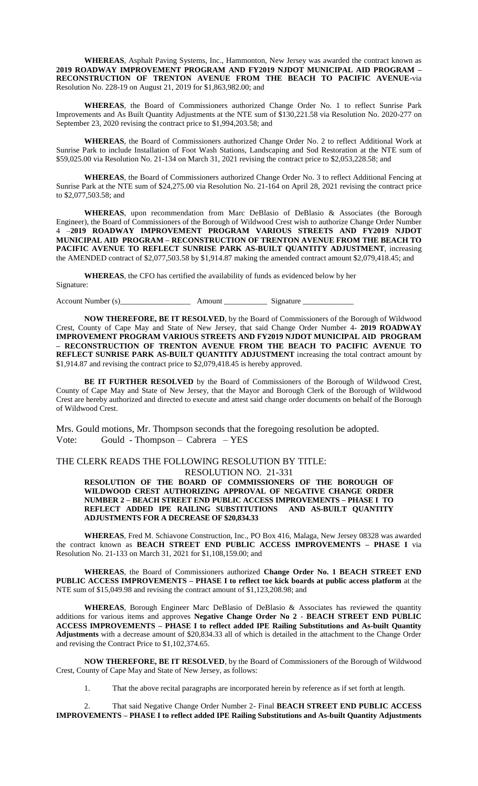**WHEREAS**, Asphalt Paving Systems, Inc., Hammonton, New Jersey was awarded the contract known as **2019 ROADWAY IMPROVEMENT PROGRAM AND FY2019 NJDOT MUNICIPAL AID PROGRAM – RECONSTRUCTION OF TRENTON AVENUE FROM THE BEACH TO PACIFIC AVENUE-**via Resolution No. 228-19 on August 21, 2019 for \$1,863,982.00; and

**WHEREAS**, the Board of Commissioners authorized Change Order No. 1 to reflect Sunrise Park Improvements and As Built Quantity Adjustments at the NTE sum of \$130,221.58 via Resolution No. 2020-277 on September 23, 2020 revising the contract price to \$1,994,203.58; and

**WHEREAS**, the Board of Commissioners authorized Change Order No. 2 to reflect Additional Work at Sunrise Park to include Installation of Foot Wash Stations, Landscaping and Sod Restoration at the NTE sum of \$59,025.00 via Resolution No. 21-134 on March 31, 2021 revising the contract price to \$2,053,228.58; and

**WHEREAS**, the Board of Commissioners authorized Change Order No. 3 to reflect Additional Fencing at Sunrise Park at the NTE sum of \$24,275.00 via Resolution No. 21-164 on April 28, 2021 revising the contract price to \$2,077,503.58; and

**WHEREAS**, upon recommendation from Marc DeBlasio of DeBlasio & Associates (the Borough Engineer), the Board of Commissioners of the Borough of Wildwood Crest wish to authorize Change Order Number 4 –**2019 ROADWAY IMPROVEMENT PROGRAM VARIOUS STREETS AND FY2019 NJDOT MUNICIPAL AID PROGRAM – RECONSTRUCTION OF TRENTON AVENUE FROM THE BEACH TO PACIFIC AVENUE TO REFLECT SUNRISE PARK AS-BUILT QUANTITY ADJUSTMENT**, increasing the AMENDED contract of \$2,077,503.58 by \$1,914.87 making the amended contract amount \$2,079,418.45; and

**WHEREAS**, the CFO has certified the availability of funds as evidenced below by her

Signature:

Account Number (s)\_\_\_\_\_\_\_\_\_\_\_\_\_\_\_\_\_\_ Amount \_\_\_\_\_\_\_\_\_\_\_ Signature \_\_\_\_\_\_\_\_\_\_\_\_\_

**NOW THEREFORE, BE IT RESOLVED**, by the Board of Commissioners of the Borough of Wildwood Crest, County of Cape May and State of New Jersey, that said Change Order Number 4- **2019 ROADWAY IMPROVEMENT PROGRAM VARIOUS STREETS AND FY2019 NJDOT MUNICIPAL AID PROGRAM – RECONSTRUCTION OF TRENTON AVENUE FROM THE BEACH TO PACIFIC AVENUE TO REFLECT SUNRISE PARK AS-BUILT QUANTITY ADJUSTMENT** increasing the total contract amount by \$1,914.87 and revising the contract price to \$2,079,418.45 is hereby approved.

**BE IT FURTHER RESOLVED** by the Board of Commissioners of the Borough of Wildwood Crest, County of Cape May and State of New Jersey, that the Mayor and Borough Clerk of the Borough of Wildwood Crest are hereby authorized and directed to execute and attest said change order documents on behalf of the Borough of Wildwood Crest.

Mrs. Gould motions, Mr. Thompson seconds that the foregoing resolution be adopted. Vote: Gould - Thompson – Cabrera – YES

### THE CLERK READS THE FOLLOWING RESOLUTION BY TITLE: RESOLUTION NO. 21-331

**RESOLUTION OF THE BOARD OF COMMISSIONERS OF THE BOROUGH OF WILDWOOD CREST AUTHORIZING APPROVAL OF NEGATIVE CHANGE ORDER NUMBER 2 – BEACH STREET END PUBLIC ACCESS IMPROVEMENTS – PHASE I TO REFLECT ADDED IPE RAILING SUBSTITUTIONS AND AS-BUILT QUANTITY ADJUSTMENTS FOR A DECREASE OF \$20,834.33**

**WHEREAS**, Fred M. Schiavone Construction, Inc., PO Box 416, Malaga, New Jersey 08328 was awarded the contract known as **BEACH STREET END PUBLIC ACCESS IMPROVEMENTS – PHASE I** via Resolution No. 21-133 on March 31, 2021 for \$1,108,159.00; and

**WHEREAS**, the Board of Commissioners authorized **Change Order No. 1 BEACH STREET END PUBLIC ACCESS IMPROVEMENTS – PHASE I to reflect toe kick boards at public access platform** at the NTE sum of \$15,049.98 and revising the contract amount of \$1,123,208.98; and

**WHEREAS**, Borough Engineer Marc DeBlasio of DeBlasio & Associates has reviewed the quantity additions for various items and approves **Negative Change Order No 2** - **BEACH STREET END PUBLIC ACCESS IMPROVEMENTS – PHASE I to reflect added IPE Railing Substitutions and As-built Quantity Adjustments** with a decrease amount of \$20,834.33 all of which is detailed in the attachment to the Change Order and revising the Contract Price to \$1,102,374.65.

**NOW THEREFORE, BE IT RESOLVED**, by the Board of Commissioners of the Borough of Wildwood Crest, County of Cape May and State of New Jersey, as follows:

1. That the above recital paragraphs are incorporated herein by reference as if set forth at length.

2. That said Negative Change Order Number 2- Final **BEACH STREET END PUBLIC ACCESS IMPROVEMENTS – PHASE I to reflect added IPE Railing Substitutions and As-built Quantity Adjustments**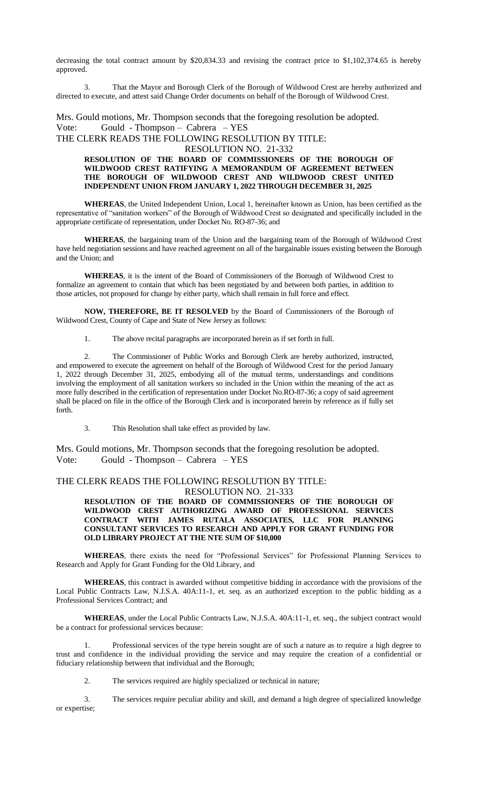decreasing the total contract amount by \$20,834.33 and revising the contract price to \$1,102,374.65 is hereby approved.

3. That the Mayor and Borough Clerk of the Borough of Wildwood Crest are hereby authorized and directed to execute, and attest said Change Order documents on behalf of the Borough of Wildwood Crest.

Mrs. Gould motions, Mr. Thompson seconds that the foregoing resolution be adopted. Vote: Gould - Thompson – Cabrera – YES

THE CLERK READS THE FOLLOWING RESOLUTION BY TITLE:

RESOLUTION NO. 21-332

#### **RESOLUTION OF THE BOARD OF COMMISSIONERS OF THE BOROUGH OF WILDWOOD CREST RATIFYING A MEMORANDUM OF AGREEMENT BETWEEN THE BOROUGH OF WILDWOOD CREST AND WILDWOOD CREST UNITED INDEPENDENT UNION FROM JANUARY 1, 2022 THROUGH DECEMBER 31, 2025**

**WHEREAS**, the United Independent Union, Local 1, hereinafter known as Union, has been certified as the representative of "sanitation workers" of the Borough of Wildwood Crest so designated and specifically included in the appropriate certificate of representation, under Docket No. RO-87-36; and

**WHEREAS**, the bargaining team of the Union and the bargaining team of the Borough of Wildwood Crest have held negotiation sessions and have reached agreement on all of the bargainable issues existing between the Borough and the Union; and

**WHEREAS**, it is the intent of the Board of Commissioners of the Borough of Wildwood Crest to formalize an agreement to contain that which has been negotiated by and between both parties, in addition to those articles, not proposed for change by either party, which shall remain in full force and effect.

**NOW, THEREFORE, BE IT RESOLVED** by the Board of Commissioners of the Borough of Wildwood Crest, County of Cape and State of New Jersey as follows:

1. The above recital paragraphs are incorporated herein as if set forth in full.

The Commissioner of Public Works and Borough Clerk are hereby authorized, instructed, and empowered to execute the agreement on behalf of the Borough of Wildwood Crest for the period January 1, 2022 through December 31, 2025, embodying all of the mutual terms, understandings and conditions involving the employment of all sanitation workers so included in the Union within the meaning of the act as more fully described in the certification of representation under Docket No.RO-87-36; a copy of said agreement shall be placed on file in the office of the Borough Clerk and is incorporated herein by reference as if fully set forth.

3. This Resolution shall take effect as provided by law.

Mrs. Gould motions, Mr. Thompson seconds that the foregoing resolution be adopted. Vote: Gould - Thompson – Cabrera – YES

#### THE CLERK READS THE FOLLOWING RESOLUTION BY TITLE: RESOLUTION NO. 21-333

**RESOLUTION OF THE BOARD OF COMMISSIONERS OF THE BOROUGH OF WILDWOOD CREST AUTHORIZING AWARD OF PROFESSIONAL SERVICES CONTRACT WITH JAMES RUTALA ASSOCIATES, LLC FOR PLANNING CONSULTANT SERVICES TO RESEARCH AND APPLY FOR GRANT FUNDING FOR OLD LIBRARY PROJECT AT THE NTE SUM OF \$10,000**

**WHEREAS**, there exists the need for "Professional Services" for Professional Planning Services to Research and Apply for Grant Funding for the Old Library, and

**WHEREAS**, this contract is awarded without competitive bidding in accordance with the provisions of the Local Public Contracts Law, N.J.S.A. 40A:11-1, et. seq. as an authorized exception to the public bidding as a Professional Services Contract; and

**WHEREAS**, under the Local Public Contracts Law, N.J.S.A. 40A:11-1, et. seq., the subject contract would be a contract for professional services because:

1. Professional services of the type herein sought are of such a nature as to require a high degree to trust and confidence in the individual providing the service and may require the creation of a confidential or fiduciary relationship between that individual and the Borough;

2. The services required are highly specialized or technical in nature;

3. The services require peculiar ability and skill, and demand a high degree of specialized knowledge or expertise;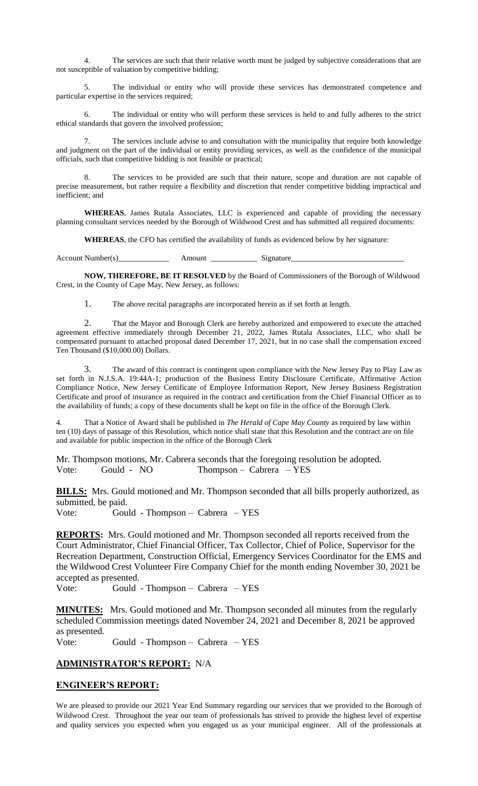4. The services are such that their relative worth must be judged by subjective considerations that are not susceptible of valuation by competitive bidding;

5. The individual or entity who will provide these services has demonstrated competence and particular expertise in the services required;

6. The individual or entity who will perform these services is held to and fully adheres to the strict ethical standards that govern the involved profession;

The services include advise to and consultation with the municipality that require both knowledge and judgment on the part of the individual or entity providing services, as well as the confidence of the municipal officials, such that competitive bidding is not feasible or practical;

The services to be provided are such that their nature, scope and duration are not capable of precise measurement, but rather require a flexibility and discretion that render competitive bidding impractical and inefficient; and

**WHEREAS**, James Rutala Associates, LLC is experienced and capable of providing the necessary planning consultant services needed by the Borough of Wildwood Crest and has submitted all required documents:

**WHEREAS**, the CFO has certified the availability of funds as evidenced below by her signature:

Account Number(s) Amount Amount Signature

**NOW, THEREFORE, BE IT RESOLVED** by the Board of Commissioners of the Borough of Wildwood Crest, in the County of Cape May, New Jersey, as follows:

1. The above recital paragraphs are incorporated herein as if set forth at length.

2. That the Mayor and Borough Clerk are hereby authorized and empowered to execute the attached agreement effective immediately through December 21, 2022, James Rutala Associates, LLC, who shall be compensated pursuant to attached proposal dated December 17, 2021, but in no case shall the compensation exceed Ten Thousand (\$10,000.00) Dollars.

The award of this contract is contingent upon compliance with the New Jersey Pay to Play Law as set forth in N.J.S.A. 19:44A-1; production of the Business Entity Disclosure Certificate, Affirmative Action Compliance Notice, New Jersey Certificate of Employee Information Report, New Jersey Business Registration Certificate and proof of insurance as required in the contract and certification from the Chief Financial Officer as to the availability of funds; a copy of these documents shall be kept on file in the office of the Borough Clerk.

4. That a Notice of Award shall be published in *The Herald of Cape May County* as required by law within ten (10) days of passage of this Resolution, which notice shall state that this Resolution and the contract are on file and available for public inspection in the office of the Borough Clerk

Mr. Thompson motions, Mr. Cabrera seconds that the foregoing resolution be adopted. Vote: Gould - NO Thompson – Cabrera – YES

**BILLS:** Mrs. Gould motioned and Mr. Thompson seconded that all bills properly authorized, as submitted, be paid.

Vote: Gould - Thompson – Cabrera – YES

**REPORTS:** Mrs. Gould motioned and Mr. Thompson seconded all reports received from the Court Administrator, Chief Financial Officer, Tax Collector, Chief of Police, Supervisor for the Recreation Department, Construction Official, Emergency Services Coordinator for the EMS and the Wildwood Crest Volunteer Fire Company Chief for the month ending November 30, 2021 be accepted as presented.

Vote: Gould - Thompson – Cabrera – YES

**MINUTES:** Mrs. Gould motioned and Mr. Thompson seconded all minutes from the regularly scheduled Commission meetings dated November 24, 2021 and December 8, 2021 be approved as presented.

Vote: Gould - Thompson – Cabrera – YES

## **ADMINISTRATOR'S REPORT:** N/A

### **ENGINEER'S REPORT:**

We are pleased to provide our 2021 Year End Summary regarding our services that we provided to the Borough of Wildwood Crest. Throughout the year our team of professionals has strived to provide the highest level of expertise and quality services you expected when you engaged us as your municipal engineer. All of the professionals at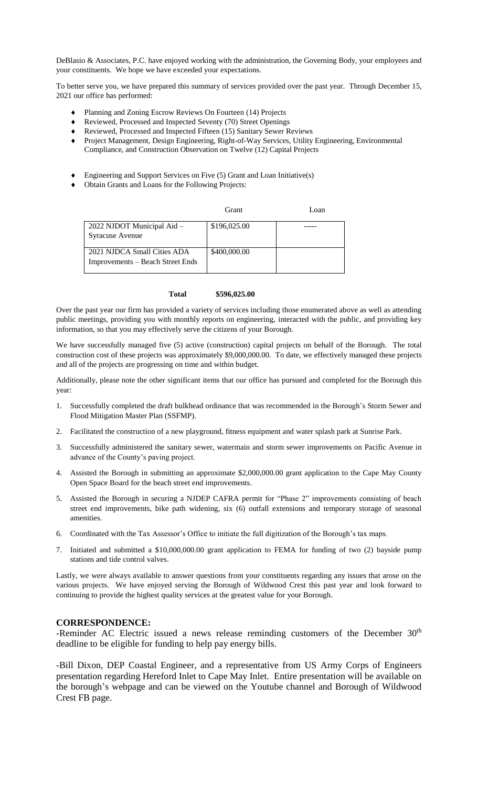DeBlasio & Associates, P.C. have enjoyed working with the administration, the Governing Body, your employees and your constituents. We hope we have exceeded your expectations.

To better serve you, we have prepared this summary of services provided over the past year. Through December 15, 2021 our office has performed:

- Planning and Zoning Escrow Reviews On Fourteen (14) Projects
- Reviewed, Processed and Inspected Seventy (70) Street Openings
- Reviewed, Processed and Inspected Fifteen (15) Sanitary Sewer Reviews
- ◆ Project Management, Design Engineering, Right-of-Way Services, Utility Engineering, Environmental Compliance, and Construction Observation on Twelve (12) Capital Projects

Grant Loan

- Engineering and Support Services on Five (5) Grant and Loan Initiative(s)
- Obtain Grants and Loans for the Following Projects:

| 2022 NJDOT Municipal Aid -                                      | \$196,025.00 |  |
|-----------------------------------------------------------------|--------------|--|
| <b>Syracuse Avenue</b>                                          |              |  |
| 2021 NJDCA Small Cities ADA<br>Improvements – Beach Street Ends | \$400,000.00 |  |

#### **Total \$596,025.00**

Over the past year our firm has provided a variety of services including those enumerated above as well as attending public meetings, providing you with monthly reports on engineering, interacted with the public, and providing key information, so that you may effectively serve the citizens of your Borough.

We have successfully managed five (5) active (construction) capital projects on behalf of the Borough. The total construction cost of these projects was approximately \$9,000,000.00. To date, we effectively managed these projects and all of the projects are progressing on time and within budget.

Additionally, please note the other significant items that our office has pursued and completed for the Borough this year:

- 1. Successfully completed the draft bulkhead ordinance that was recommended in the Borough's Storm Sewer and Flood Mitigation Master Plan (SSFMP).
- 2. Facilitated the construction of a new playground, fitness equipment and water splash park at Sunrise Park.
- 3. Successfully administered the sanitary sewer, watermain and storm sewer improvements on Pacific Avenue in advance of the County's paving project.
- 4. Assisted the Borough in submitting an approximate \$2,000,000.00 grant application to the Cape May County Open Space Board for the beach street end improvements.
- 5. Assisted the Borough in securing a NJDEP CAFRA permit for "Phase 2" improvements consisting of beach street end improvements, bike path widening, six (6) outfall extensions and temporary storage of seasonal amenities.
- 6. Coordinated with the Tax Assessor's Office to initiate the full digitization of the Borough's tax maps.
- 7. Initiated and submitted a \$10,000,000.00 grant application to FEMA for funding of two (2) bayside pump stations and tide control valves.

Lastly, we were always available to answer questions from your constituents regarding any issues that arose on the various projects. We have enjoyed serving the Borough of Wildwood Crest this past year and look forward to continuing to provide the highest quality services at the greatest value for your Borough.

### **CORRESPONDENCE:**

-Reminder AC Electric issued a news release reminding customers of the December 30<sup>th</sup> deadline to be eligible for funding to help pay energy bills.

-Bill Dixon, DEP Coastal Engineer, and a representative from US Army Corps of Engineers presentation regarding Hereford Inlet to Cape May Inlet. Entire presentation will be available on the borough's webpage and can be viewed on the Youtube channel and Borough of Wildwood Crest FB page.